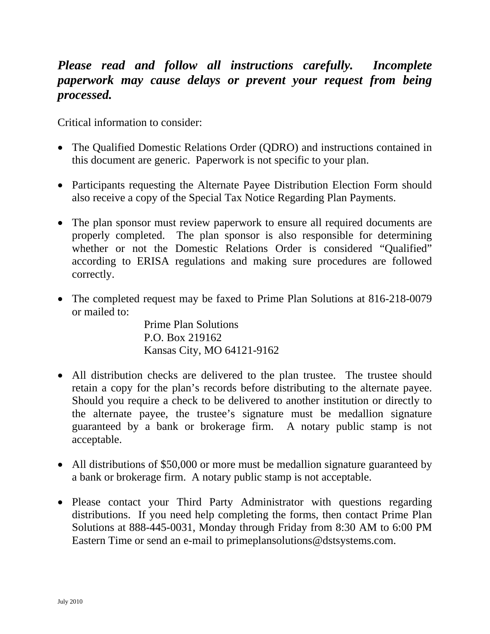# *Please read and follow all instructions carefully. Incomplete paperwork may cause delays or prevent your request from being processed.*

Critical information to consider:

- The Qualified Domestic Relations Order (QDRO) and instructions contained in this document are generic. Paperwork is not specific to your plan.
- Participants requesting the Alternate Payee Distribution Election Form should also receive a copy of the Special Tax Notice Regarding Plan Payments.
- The plan sponsor must review paperwork to ensure all required documents are properly completed. The plan sponsor is also responsible for determining whether or not the Domestic Relations Order is considered "Qualified" according to ERISA regulations and making sure procedures are followed correctly.
- The completed request may be faxed to Prime Plan Solutions at 816-218-0079 or mailed to:

Prime Plan Solutions P.O. Box 219162 Kansas City, MO 64121-9162

- All distribution checks are delivered to the plan trustee. The trustee should retain a copy for the plan's records before distributing to the alternate payee. Should you require a check to be delivered to another institution or directly to the alternate payee, the trustee's signature must be medallion signature guaranteed by a bank or brokerage firm. A notary public stamp is not acceptable.
- All distributions of \$50,000 or more must be medallion signature guaranteed by a bank or brokerage firm. A notary public stamp is not acceptable.
- Please contact your Third Party Administrator with questions regarding distributions. If you need help completing the forms, then contact Prime Plan Solutions at 888-445-0031, Monday through Friday from 8:30 AM to 6:00 PM Eastern Time or send an e-mail to primeplansolutions@dstsystems.com.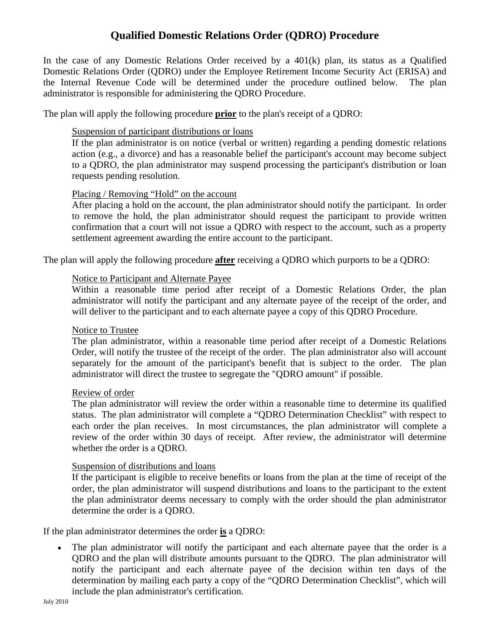### **Qualified Domestic Relations Order (QDRO) Procedure**

In the case of any Domestic Relations Order received by a 401(k) plan, its status as a Qualified Domestic Relations Order (QDRO) under the Employee Retirement Income Security Act (ERISA) and the Internal Revenue Code will be determined under the procedure outlined below. The plan administrator is responsible for administering the QDRO Procedure.

The plan will apply the following procedure **prior** to the plan's receipt of a QDRO:

### Suspension of participant distributions or loans

If the plan administrator is on notice (verbal or written) regarding a pending domestic relations action (e.g., a divorce) and has a reasonable belief the participant's account may become subject to a QDRO, the plan administrator may suspend processing the participant's distribution or loan requests pending resolution.

### Placing / Removing "Hold" on the account

After placing a hold on the account, the plan administrator should notify the participant. In order to remove the hold, the plan administrator should request the participant to provide written confirmation that a court will not issue a QDRO with respect to the account, such as a property settlement agreement awarding the entire account to the participant.

The plan will apply the following procedure **after** receiving a QDRO which purports to be a QDRO:

#### Notice to Participant and Alternate Payee

Within a reasonable time period after receipt of a Domestic Relations Order, the plan administrator will notify the participant and any alternate payee of the receipt of the order, and will deliver to the participant and to each alternate payee a copy of this QDRO Procedure.

### Notice to Trustee

The plan administrator, within a reasonable time period after receipt of a Domestic Relations Order, will notify the trustee of the receipt of the order. The plan administrator also will account separately for the amount of the participant's benefit that is subject to the order. The plan administrator will direct the trustee to segregate the "QDRO amount" if possible.

#### Review of order

The plan administrator will review the order within a reasonable time to determine its qualified status. The plan administrator will complete a "QDRO Determination Checklist" with respect to each order the plan receives. In most circumstances, the plan administrator will complete a review of the order within 30 days of receipt. After review, the administrator will determine whether the order is a QDRO.

#### Suspension of distributions and loans

If the participant is eligible to receive benefits or loans from the plan at the time of receipt of the order, the plan administrator will suspend distributions and loans to the participant to the extent the plan administrator deems necessary to comply with the order should the plan administrator determine the order is a QDRO.

If the plan administrator determines the order **is** a QDRO:

The plan administrator will notify the participant and each alternate payee that the order is a QDRO and the plan will distribute amounts pursuant to the QDRO. The plan administrator will notify the participant and each alternate payee of the decision within ten days of the determination by mailing each party a copy of the "QDRO Determination Checklist", which will include the plan administrator's certification.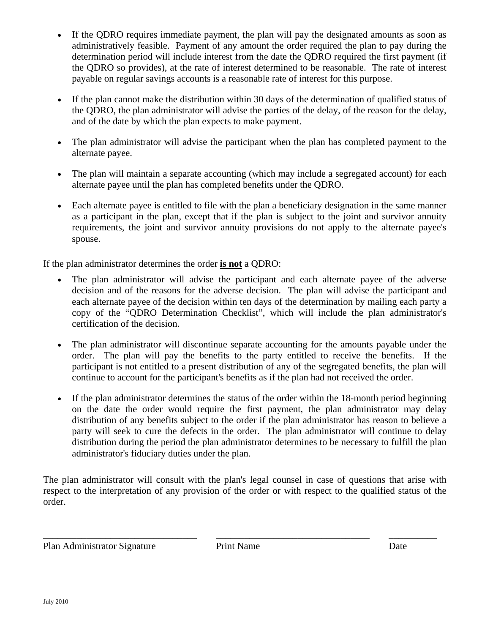- If the QDRO requires immediate payment, the plan will pay the designated amounts as soon as administratively feasible. Payment of any amount the order required the plan to pay during the determination period will include interest from the date the QDRO required the first payment (if the QDRO so provides), at the rate of interest determined to be reasonable. The rate of interest payable on regular savings accounts is a reasonable rate of interest for this purpose.
- If the plan cannot make the distribution within 30 days of the determination of qualified status of the QDRO, the plan administrator will advise the parties of the delay, of the reason for the delay, and of the date by which the plan expects to make payment.
- The plan administrator will advise the participant when the plan has completed payment to the alternate payee.
- The plan will maintain a separate accounting (which may include a segregated account) for each alternate payee until the plan has completed benefits under the QDRO.
- Each alternate payee is entitled to file with the plan a beneficiary designation in the same manner as a participant in the plan, except that if the plan is subject to the joint and survivor annuity requirements, the joint and survivor annuity provisions do not apply to the alternate payee's spouse.

If the plan administrator determines the order **is not** a QDRO:

- The plan administrator will advise the participant and each alternate payee of the adverse decision and of the reasons for the adverse decision. The plan will advise the participant and each alternate payee of the decision within ten days of the determination by mailing each party a copy of the "QDRO Determination Checklist", which will include the plan administrator's certification of the decision.
- The plan administrator will discontinue separate accounting for the amounts payable under the order. The plan will pay the benefits to the party entitled to receive the benefits. If the participant is not entitled to a present distribution of any of the segregated benefits, the plan will continue to account for the participant's benefits as if the plan had not received the order.
- If the plan administrator determines the status of the order within the 18-month period beginning on the date the order would require the first payment, the plan administrator may delay distribution of any benefits subject to the order if the plan administrator has reason to believe a party will seek to cure the defects in the order. The plan administrator will continue to delay distribution during the period the plan administrator determines to be necessary to fulfill the plan administrator's fiduciary duties under the plan.

The plan administrator will consult with the plan's legal counsel in case of questions that arise with respect to the interpretation of any provision of the order or with respect to the qualified status of the order.

Plan Administrator Signature Print Name Date

\_\_\_\_\_\_\_\_\_\_\_\_\_\_\_\_\_\_\_\_\_\_\_\_\_\_\_\_\_\_\_\_ \_\_\_\_\_\_\_\_\_\_\_\_\_\_\_\_\_\_\_\_\_\_\_\_\_\_\_\_\_\_\_\_ \_\_\_\_\_\_\_\_\_\_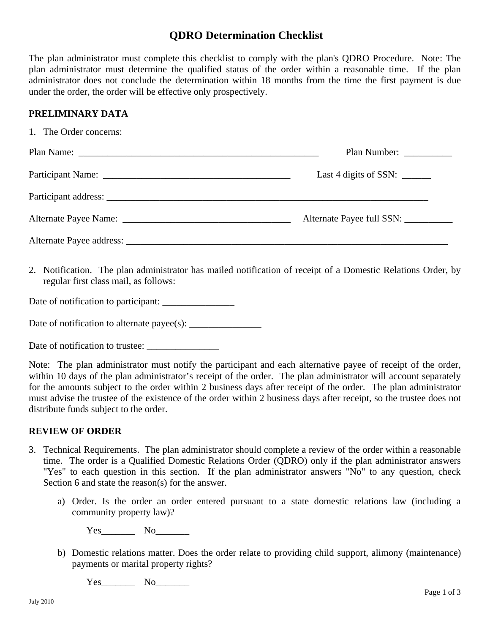### **QDRO Determination Checklist**

The plan administrator must complete this checklist to comply with the plan's QDRO Procedure. Note: The plan administrator must determine the qualified status of the order within a reasonable time. If the plan administrator does not conclude the determination within 18 months from the time the first payment is due under the order, the order will be effective only prospectively.

### **PRELIMINARY DATA**

| 1. The Order concerns: |                                      |
|------------------------|--------------------------------------|
|                        | Plan Number:                         |
|                        | Last 4 digits of SSN: $\frac{ }{ }$  |
|                        |                                      |
|                        | Alternate Payee full SSN: __________ |
|                        |                                      |

2. Notification. The plan administrator has mailed notification of receipt of a Domestic Relations Order, by regular first class mail, as follows:

Date of notification to participant:

Date of notification to alternate payee(s): \_\_\_\_\_\_\_\_\_\_\_\_\_\_\_

Date of notification to trustee:

Note: The plan administrator must notify the participant and each alternative payee of receipt of the order, within 10 days of the plan administrator's receipt of the order. The plan administrator will account separately for the amounts subject to the order within 2 business days after receipt of the order. The plan administrator must advise the trustee of the existence of the order within 2 business days after receipt, so the trustee does not distribute funds subject to the order.

### **REVIEW OF ORDER**

- 3. Technical Requirements. The plan administrator should complete a review of the order within a reasonable time. The order is a Qualified Domestic Relations Order (QDRO) only if the plan administrator answers "Yes" to each question in this section. If the plan administrator answers "No" to any question, check Section 6 and state the reason(s) for the answer.
	- a) Order. Is the order an order entered pursuant to a state domestic relations law (including a community property law)?

Yes No

b) Domestic relations matter. Does the order relate to providing child support, alimony (maintenance) payments or marital property rights?

Yes No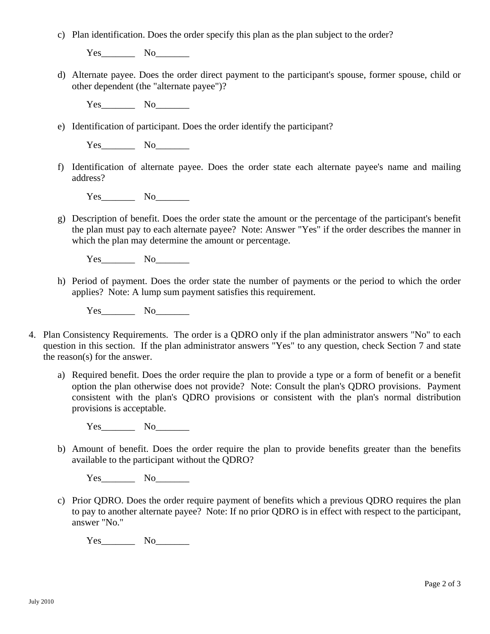c) Plan identification. Does the order specify this plan as the plan subject to the order?

Yes\_\_\_\_\_\_\_\_\_\_ No\_\_\_\_\_\_\_\_

d) Alternate payee. Does the order direct payment to the participant's spouse, former spouse, child or other dependent (the "alternate payee")?

Yes\_\_\_\_\_\_\_\_\_\_ No\_\_\_\_\_\_\_\_

e) Identification of participant. Does the order identify the participant?

Yes\_\_\_\_\_\_\_\_\_ No\_\_\_\_\_\_\_\_

f) Identification of alternate payee. Does the order state each alternate payee's name and mailing address?

Yes\_\_\_\_\_\_\_ No\_\_\_\_\_\_\_

g) Description of benefit. Does the order state the amount or the percentage of the participant's benefit the plan must pay to each alternate payee? Note: Answer "Yes" if the order describes the manner in which the plan may determine the amount or percentage.

Yes No

h) Period of payment. Does the order state the number of payments or the period to which the order applies? Note: A lump sum payment satisfies this requirement.

Yes\_\_\_\_\_\_\_ No\_\_\_\_\_\_\_

- 4. Plan Consistency Requirements. The order is a QDRO only if the plan administrator answers "No" to each question in this section. If the plan administrator answers "Yes" to any question, check Section 7 and state the reason(s) for the answer.
	- a) Required benefit. Does the order require the plan to provide a type or a form of benefit or a benefit option the plan otherwise does not provide? Note: Consult the plan's QDRO provisions. Payment consistent with the plan's QDRO provisions or consistent with the plan's normal distribution provisions is acceptable.

Yes\_\_\_\_\_\_\_ No\_\_\_\_\_\_\_

b) Amount of benefit. Does the order require the plan to provide benefits greater than the benefits available to the participant without the QDRO?

Yes\_\_\_\_\_\_\_ No\_\_\_\_\_\_\_

c) Prior QDRO. Does the order require payment of benefits which a previous QDRO requires the plan to pay to another alternate payee? Note: If no prior QDRO is in effect with respect to the participant, answer "No."

Yes\_\_\_\_\_\_\_ No\_\_\_\_\_\_\_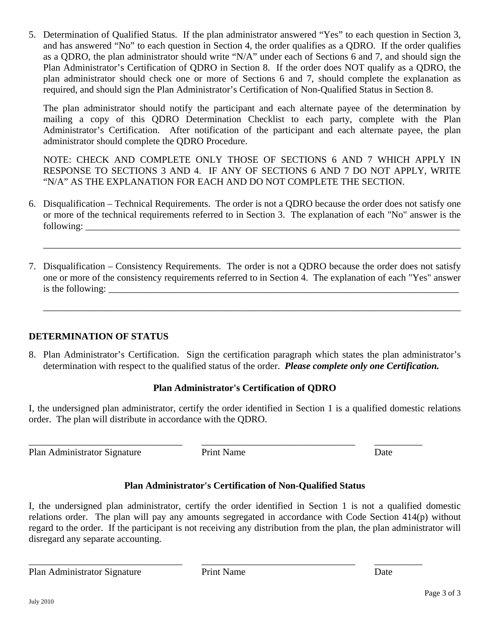5. Determination of Qualified Status. If the plan administrator answered "Yes" to each question in Section 3, and has answered "No" to each question in Section 4, the order qualifies as a QDRO. If the order qualifies as a QDRO, the plan administrator should write "N/A" under each of Sections 6 and 7, and should sign the Plan Administrator's Certification of QDRO in Section 8. If the order does NOT qualify as a QDRO, the plan administrator should check one or more of Sections 6 and 7, should complete the explanation as required, and should sign the Plan Administrator's Certification of Non-Qualified Status in Section 8.

The plan administrator should notify the participant and each alternate payee of the determination by mailing a copy of this QDRO Determination Checklist to each party, complete with the Plan Administrator's Certification. After notification of the participant and each alternate payee, the plan administrator should complete the QDRO Procedure.

NOTE: CHECK AND COMPLETE ONLY THOSE OF SECTIONS 6 AND 7 WHICH APPLY IN RESPONSE TO SECTIONS 3 AND 4. IF ANY OF SECTIONS 6 AND 7 DO NOT APPLY, WRITE "N/A" AS THE EXPLANATION FOR EACH AND DO NOT COMPLETE THE SECTION.

6. Disqualification – Technical Requirements. The order is not a QDRO because the order does not satisfy one or more of the technical requirements referred to in Section 3. The explanation of each "No" answer is the  $\text{following:}\quad\quad$ 

\_\_\_\_\_\_\_\_\_\_\_\_\_\_\_\_\_\_\_\_\_\_\_\_\_\_\_\_\_\_\_\_\_\_\_\_\_\_\_\_\_\_\_\_\_\_\_\_\_\_\_\_\_\_\_\_\_\_\_\_\_\_\_\_\_\_\_\_\_\_\_\_\_\_\_\_\_\_\_\_\_\_\_\_\_\_\_

7. Disqualification – Consistency Requirements. The order is not a QDRO because the order does not satisfy one or more of the consistency requirements referred to in Section 4. The explanation of each "Yes" answer is the following:

\_\_\_\_\_\_\_\_\_\_\_\_\_\_\_\_\_\_\_\_\_\_\_\_\_\_\_\_\_\_\_\_\_\_\_\_\_\_\_\_\_\_\_\_\_\_\_\_\_\_\_\_\_\_\_\_\_\_\_\_\_\_\_\_\_\_\_\_\_\_\_\_\_\_\_\_\_\_\_\_\_\_\_\_\_\_\_

## **DETERMINATION OF STATUS**

8. Plan Administrator's Certification. Sign the certification paragraph which states the plan administrator's determination with respect to the qualified status of the order. *Please complete only one Certification.*

## **Plan Administrator's Certification of QDRO**

I, the undersigned plan administrator, certify the order identified in Section 1 is a qualified domestic relations order. The plan will distribute in accordance with the QDRO.

Plan Administrator Signature Print Name Date

\_\_\_\_\_\_\_\_\_\_\_\_\_\_\_\_\_\_\_\_\_\_\_\_\_\_\_\_\_\_\_\_ \_\_\_\_\_\_\_\_\_\_\_\_\_\_\_\_\_\_\_\_\_\_\_\_\_\_\_\_\_\_\_\_ \_\_\_\_\_\_\_\_\_\_

# **Plan Administrator's Certification of Non-Qualified Status**

I, the undersigned plan administrator, certify the order identified in Section 1 is not a qualified domestic relations order. The plan will pay any amounts segregated in accordance with Code Section 414(p) without regard to the order. If the participant is not receiving any distribution from the plan, the plan administrator will disregard any separate accounting.

\_\_\_\_\_\_\_\_\_\_\_\_\_\_\_\_\_\_\_\_\_\_\_\_\_\_\_\_\_\_\_\_ \_\_\_\_\_\_\_\_\_\_\_\_\_\_\_\_\_\_\_\_\_\_\_\_\_\_\_\_\_\_\_\_ \_\_\_\_\_\_\_\_\_\_ Plan Administrator Signature Print Name Date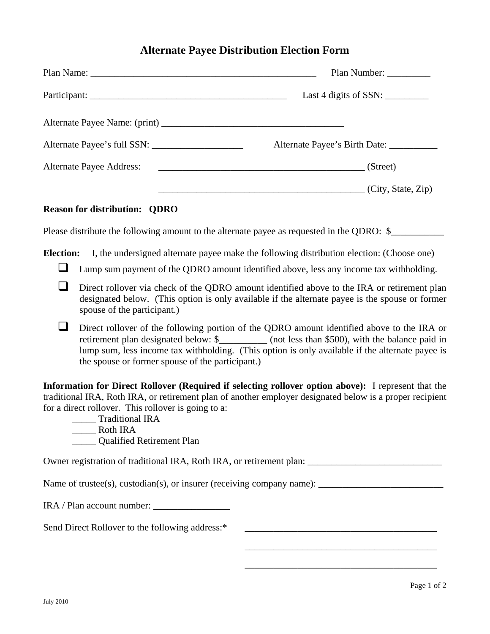### **Alternate Payee Distribution Election Form**

|                                      | Plan Number: _________                                                                                     |
|--------------------------------------|------------------------------------------------------------------------------------------------------------|
|                                      | Last 4 digits of SSN: $\_\_\_\_\_\_\_\_\_\_\_\_\_\_\_\_\_$                                                 |
|                                      |                                                                                                            |
|                                      | Alternate Payee's Birth Date: __________                                                                   |
|                                      | (Street)                                                                                                   |
|                                      | $\overline{\phantom{a}}$ (City, State, Zip)                                                                |
| <b>Reason for distribution: QDRO</b> |                                                                                                            |
|                                      | Please distribute the following amount to the alternate payee as requested in the QDRO: \$                 |
|                                      | <b>Election:</b> I, the undersigned alternate payee make the following distribution election: (Choose one) |

- Lump sum payment of the QDRO amount identified above, less any income tax withholding.
- Direct rollover via check of the ODRO amount identified above to the IRA or retirement plan designated below. (This option is only available if the alternate payee is the spouse or former spouse of the participant.)
- Direct rollover of the following portion of the QDRO amount identified above to the IRA or retirement plan designated below: \$\_\_\_\_\_\_\_\_\_\_\_ (not less than \$500), with the balance paid in lump sum, less income tax withholding. (This option is only available if the alternate payee is the spouse or former spouse of the participant.)

**Information for Direct Rollover (Required if selecting rollover option above):** I represent that the traditional IRA, Roth IRA, or retirement plan of another employer designated below is a proper recipient for a direct rollover. This rollover is going to a:

\_\_\_\_\_ Traditional IRA \_\_\_\_\_ Roth IRA \_\_\_\_\_ Qualified Retirement Plan

Owner registration of traditional IRA, Roth IRA, or retirement plan: \_\_\_\_\_\_\_\_\_\_\_\_\_\_\_\_\_\_\_\_\_\_\_\_\_\_\_\_

Name of trustee(s), custodian(s), or insurer (receiving company name):

IRA / Plan account number:

Send Direct Rollover to the following address:\* \_\_\_\_\_\_\_\_\_\_\_\_\_\_\_\_\_\_\_\_\_\_\_\_\_\_\_\_\_\_\_\_\_

\_\_\_\_\_\_\_\_\_\_\_\_\_\_\_\_\_\_\_\_\_\_\_\_\_\_\_\_\_\_\_\_\_\_\_\_\_\_\_\_

\_\_\_\_\_\_\_\_\_\_\_\_\_\_\_\_\_\_\_\_\_\_\_\_\_\_\_\_\_\_\_\_\_\_\_\_\_\_\_\_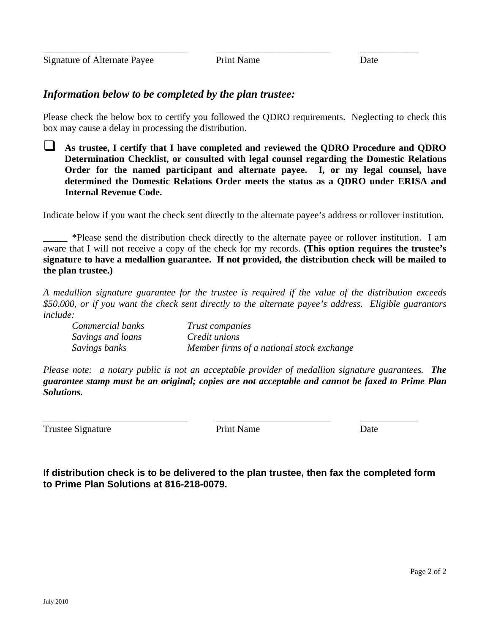## *Information below to be completed by the plan trustee:*

Please check the below box to certify you followed the QDRO requirements. Neglecting to check this box may cause a delay in processing the distribution.

 **As trustee, I certify that I have completed and reviewed the QDRO Procedure and QDRO Determination Checklist, or consulted with legal counsel regarding the Domestic Relations Order for the named participant and alternate payee. I, or my legal counsel, have determined the Domestic Relations Order meets the status as a QDRO under ERISA and Internal Revenue Code.** 

Indicate below if you want the check sent directly to the alternate payee's address or rollover institution.

\_\_\_\_\_ \*Please send the distribution check directly to the alternate payee or rollover institution. I am aware that I will not receive a copy of the check for my records. **(This option requires the trustee's signature to have a medallion guarantee. If not provided, the distribution check will be mailed to the plan trustee.)**

*A medallion signature guarantee for the trustee is required if the value of the distribution exceeds \$50,000, or if you want the check sent directly to the alternate payee's address. Eligible guarantors include:* 

| Commercial banks  | Trust companies                           |
|-------------------|-------------------------------------------|
| Savings and loans | <i>Credit unions</i>                      |
| Savings banks     | Member firms of a national stock exchange |

*Please note: a notary public is not an acceptable provider of medallion signature guarantees. The guarantee stamp must be an original; copies are not acceptable and cannot be faxed to Prime Plan Solutions.* 

Trustee Signature **Prince Access** Print Name **Date** Date

\_\_\_\_\_\_\_\_\_\_\_\_\_\_\_\_\_\_\_\_\_\_\_\_\_\_\_\_\_\_ \_\_\_\_\_\_\_\_\_\_\_\_\_\_\_\_\_\_\_\_\_\_\_\_ \_\_\_\_\_\_\_\_\_\_\_\_

**If distribution check is to be delivered to the plan trustee, then fax the completed form to Prime Plan Solutions at 816-218-0079.**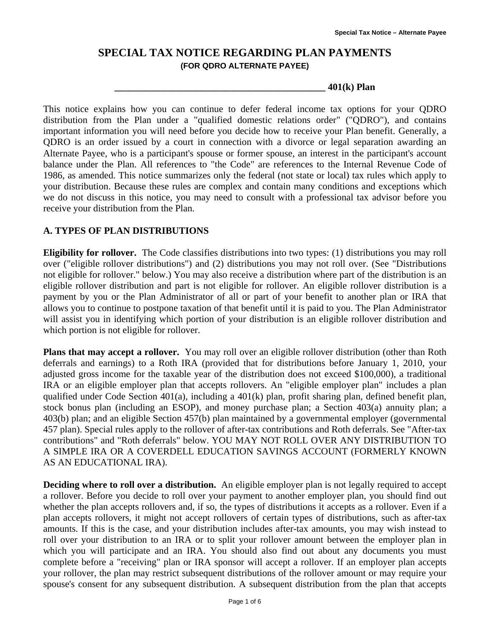## **SPECIAL TAX NOTICE REGARDING PLAN PAYMENTS (FOR QDRO ALTERNATE PAYEE)**

#### **\_\_\_\_\_\_\_\_\_\_\_\_\_\_\_\_\_\_\_\_\_\_\_\_\_\_\_\_\_\_\_\_\_\_\_\_\_\_\_\_\_\_\_\_ 401(k) Plan**

This notice explains how you can continue to defer federal income tax options for your QDRO distribution from the Plan under a "qualified domestic relations order" ("QDRO"), and contains important information you will need before you decide how to receive your Plan benefit. Generally, a QDRO is an order issued by a court in connection with a divorce or legal separation awarding an Alternate Payee, who is a participant's spouse or former spouse, an interest in the participant's account balance under the Plan. All references to "the Code" are references to the Internal Revenue Code of 1986, as amended. This notice summarizes only the federal (not state or local) tax rules which apply to your distribution. Because these rules are complex and contain many conditions and exceptions which we do not discuss in this notice, you may need to consult with a professional tax advisor before you receive your distribution from the Plan.

### **A. TYPES OF PLAN DISTRIBUTIONS**

**Eligibility for rollover.** The Code classifies distributions into two types: (1) distributions you may roll over ("eligible rollover distributions") and (2) distributions you may not roll over. (See "Distributions not eligible for rollover." below.) You may also receive a distribution where part of the distribution is an eligible rollover distribution and part is not eligible for rollover. An eligible rollover distribution is a payment by you or the Plan Administrator of all or part of your benefit to another plan or IRA that allows you to continue to postpone taxation of that benefit until it is paid to you. The Plan Administrator will assist you in identifying which portion of your distribution is an eligible rollover distribution and which portion is not eligible for rollover.

**Plans that may accept a rollover.** You may roll over an eligible rollover distribution (other than Roth deferrals and earnings) to a Roth IRA (provided that for distributions before January 1, 2010, your adjusted gross income for the taxable year of the distribution does not exceed \$100,000), a traditional IRA or an eligible employer plan that accepts rollovers. An "eligible employer plan" includes a plan qualified under Code Section 401(a), including a 401(k) plan, profit sharing plan, defined benefit plan, stock bonus plan (including an ESOP), and money purchase plan; a Section 403(a) annuity plan; a 403(b) plan; and an eligible Section 457(b) plan maintained by a governmental employer (governmental 457 plan). Special rules apply to the rollover of after-tax contributions and Roth deferrals. See "After-tax contributions" and "Roth deferrals" below. YOU MAY NOT ROLL OVER ANY DISTRIBUTION TO A SIMPLE IRA OR A COVERDELL EDUCATION SAVINGS ACCOUNT (FORMERLY KNOWN AS AN EDUCATIONAL IRA).

**Deciding where to roll over a distribution.** An eligible employer plan is not legally required to accept a rollover. Before you decide to roll over your payment to another employer plan, you should find out whether the plan accepts rollovers and, if so, the types of distributions it accepts as a rollover. Even if a plan accepts rollovers, it might not accept rollovers of certain types of distributions, such as after-tax amounts. If this is the case, and your distribution includes after-tax amounts, you may wish instead to roll over your distribution to an IRA or to split your rollover amount between the employer plan in which you will participate and an IRA. You should also find out about any documents you must complete before a "receiving" plan or IRA sponsor will accept a rollover. If an employer plan accepts your rollover, the plan may restrict subsequent distributions of the rollover amount or may require your spouse's consent for any subsequent distribution. A subsequent distribution from the plan that accepts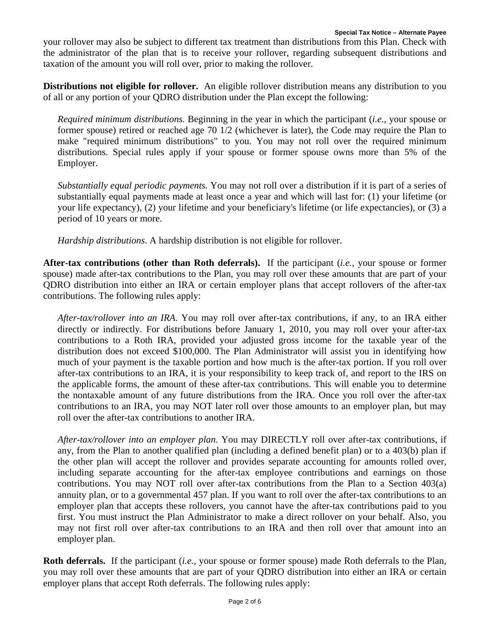your rollover may also be subject to different tax treatment than distributions from this Plan. Check with the administrator of the plan that is to receive your rollover, regarding subsequent distributions and taxation of the amount you will roll over, prior to making the rollover.

**Distributions not eligible for rollover.** An eligible rollover distribution means any distribution to you of all or any portion of your QDRO distribution under the Plan except the following:

*Required minimum distributions.* Beginning in the year in which the participant (*i.e.*, your spouse or former spouse) retired or reached age 70 1/2 (whichever is later), the Code may require the Plan to make "required minimum distributions" to you. You may not roll over the required minimum distributions. Special rules apply if your spouse or former spouse owns more than 5% of the Employer.

*Substantially equal periodic payments.* You may not roll over a distribution if it is part of a series of substantially equal payments made at least once a year and which will last for: (1) your lifetime (or your life expectancy), (2) your lifetime and your beneficiary's lifetime (or life expectancies), or (3) a period of 10 years or more.

*Hardship distributions*. A hardship distribution is not eligible for rollover.

**After-tax contributions (other than Roth deferrals).** If the participant (*i.e.*, your spouse or former spouse) made after-tax contributions to the Plan, you may roll over these amounts that are part of your QDRO distribution into either an IRA or certain employer plans that accept rollovers of the after-tax contributions. The following rules apply:

*After-tax/rollover into an IRA*. You may roll over after-tax contributions, if any, to an IRA either directly or indirectly. For distributions before January 1, 2010, you may roll over your after-tax contributions to a Roth IRA, provided your adjusted gross income for the taxable year of the distribution does not exceed \$100,000. The Plan Administrator will assist you in identifying how much of your payment is the taxable portion and how much is the after-tax portion. If you roll over after-tax contributions to an IRA, it is your responsibility to keep track of, and report to the IRS on the applicable forms, the amount of these after-tax contributions. This will enable you to determine the nontaxable amount of any future distributions from the IRA. Once you roll over the after-tax contributions to an IRA, you may NOT later roll over those amounts to an employer plan, but may roll over the after-tax contributions to another IRA.

*After-tax/rollover into an employer plan*. You may DIRECTLY roll over after-tax contributions, if any, from the Plan to another qualified plan (including a defined benefit plan) or to a 403(b) plan if the other plan will accept the rollover and provides separate accounting for amounts rolled over, including separate accounting for the after-tax employee contributions and earnings on those contributions. You may NOT roll over after-tax contributions from the Plan to a Section 403(a) annuity plan, or to a governmental 457 plan. If you want to roll over the after-tax contributions to an employer plan that accepts these rollovers, you cannot have the after-tax contributions paid to you first. You must instruct the Plan Administrator to make a direct rollover on your behalf. Also, you may not first roll over after-tax contributions to an IRA and then roll over that amount into an employer plan.

**Roth deferrals.** If the participant (*i.e.*, your spouse or former spouse) made Roth deferrals to the Plan, you may roll over these amounts that are part of your QDRO distribution into either an IRA or certain employer plans that accept Roth deferrals. The following rules apply: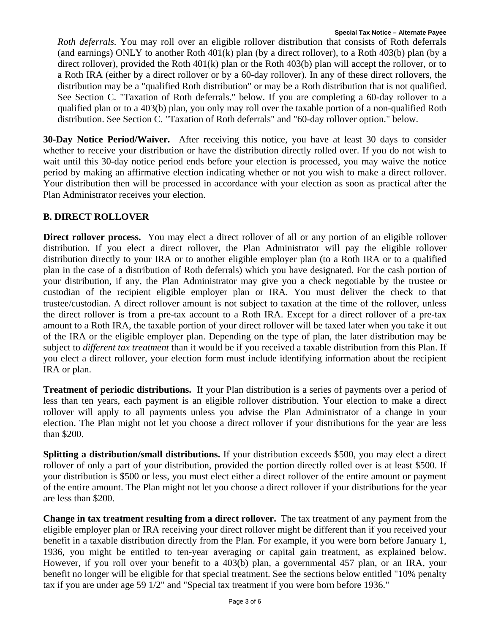*Roth deferrals.* You may roll over an eligible rollover distribution that consists of Roth deferrals (and earnings) ONLY to another Roth 401(k) plan (by a direct rollover), to a Roth 403(b) plan (by a direct rollover), provided the Roth 401(k) plan or the Roth 403(b) plan will accept the rollover, or to a Roth IRA (either by a direct rollover or by a 60-day rollover). In any of these direct rollovers, the distribution may be a "qualified Roth distribution" or may be a Roth distribution that is not qualified. See Section C. "Taxation of Roth deferrals." below. If you are completing a 60-day rollover to a qualified plan or to a 403(b) plan, you only may roll over the taxable portion of a non-qualified Roth distribution. See Section C. "Taxation of Roth deferrals" and "60-day rollover option." below.

**30-Day Notice Period/Waiver.** After receiving this notice, you have at least 30 days to consider whether to receive your distribution or have the distribution directly rolled over. If you do not wish to wait until this 30-day notice period ends before your election is processed, you may waive the notice period by making an affirmative election indicating whether or not you wish to make a direct rollover. Your distribution then will be processed in accordance with your election as soon as practical after the Plan Administrator receives your election.

### **B. DIRECT ROLLOVER**

**Direct rollover process.** You may elect a direct rollover of all or any portion of an eligible rollover distribution. If you elect a direct rollover, the Plan Administrator will pay the eligible rollover distribution directly to your IRA or to another eligible employer plan (to a Roth IRA or to a qualified plan in the case of a distribution of Roth deferrals) which you have designated. For the cash portion of your distribution, if any, the Plan Administrator may give you a check negotiable by the trustee or custodian of the recipient eligible employer plan or IRA. You must deliver the check to that trustee/custodian. A direct rollover amount is not subject to taxation at the time of the rollover, unless the direct rollover is from a pre-tax account to a Roth IRA. Except for a direct rollover of a pre-tax amount to a Roth IRA, the taxable portion of your direct rollover will be taxed later when you take it out of the IRA or the eligible employer plan. Depending on the type of plan, the later distribution may be subject to *different tax treatment* than it would be if you received a taxable distribution from this Plan. If you elect a direct rollover, your election form must include identifying information about the recipient IRA or plan.

**Treatment of periodic distributions.** If your Plan distribution is a series of payments over a period of less than ten years, each payment is an eligible rollover distribution. Your election to make a direct rollover will apply to all payments unless you advise the Plan Administrator of a change in your election. The Plan might not let you choose a direct rollover if your distributions for the year are less than \$200.

**Splitting a distribution/small distributions.** If your distribution exceeds \$500, you may elect a direct rollover of only a part of your distribution, provided the portion directly rolled over is at least \$500. If your distribution is \$500 or less, you must elect either a direct rollover of the entire amount or payment of the entire amount. The Plan might not let you choose a direct rollover if your distributions for the year are less than \$200.

**Change in tax treatment resulting from a direct rollover.** The tax treatment of any payment from the eligible employer plan or IRA receiving your direct rollover might be different than if you received your benefit in a taxable distribution directly from the Plan. For example, if you were born before January 1, 1936, you might be entitled to ten-year averaging or capital gain treatment, as explained below. However, if you roll over your benefit to a 403(b) plan, a governmental 457 plan, or an IRA, your benefit no longer will be eligible for that special treatment. See the sections below entitled "10% penalty tax if you are under age 59 1/2" and "Special tax treatment if you were born before 1936."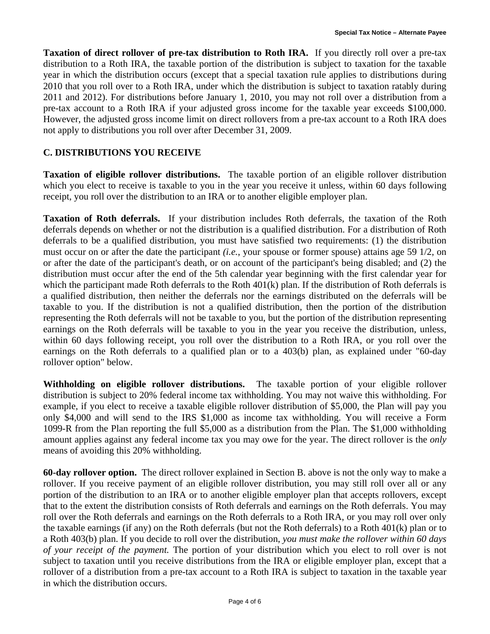**Taxation of direct rollover of pre-tax distribution to Roth IRA.** If you directly roll over a pre-tax distribution to a Roth IRA, the taxable portion of the distribution is subject to taxation for the taxable year in which the distribution occurs (except that a special taxation rule applies to distributions during 2010 that you roll over to a Roth IRA, under which the distribution is subject to taxation ratably during 2011 and 2012). For distributions before January 1, 2010, you may not roll over a distribution from a pre-tax account to a Roth IRA if your adjusted gross income for the taxable year exceeds \$100,000. However, the adjusted gross income limit on direct rollovers from a pre-tax account to a Roth IRA does not apply to distributions you roll over after December 31, 2009.

### **C. DISTRIBUTIONS YOU RECEIVE**

**Taxation of eligible rollover distributions.** The taxable portion of an eligible rollover distribution which you elect to receive is taxable to you in the year you receive it unless, within 60 days following receipt, you roll over the distribution to an IRA or to another eligible employer plan.

**Taxation of Roth deferrals.** If your distribution includes Roth deferrals, the taxation of the Roth deferrals depends on whether or not the distribution is a qualified distribution. For a distribution of Roth deferrals to be a qualified distribution, you must have satisfied two requirements: (1) the distribution must occur on or after the date the participant *(i.e.*, your spouse or former spouse) attains age 59 1/2, on or after the date of the participant's death, or on account of the participant's being disabled; and (2) the distribution must occur after the end of the 5th calendar year beginning with the first calendar year for which the participant made Roth deferrals to the Roth 401(k) plan. If the distribution of Roth deferrals is a qualified distribution, then neither the deferrals nor the earnings distributed on the deferrals will be taxable to you. If the distribution is not a qualified distribution, then the portion of the distribution representing the Roth deferrals will not be taxable to you, but the portion of the distribution representing earnings on the Roth deferrals will be taxable to you in the year you receive the distribution, unless, within 60 days following receipt, you roll over the distribution to a Roth IRA, or you roll over the earnings on the Roth deferrals to a qualified plan or to a 403(b) plan, as explained under "60-day rollover option" below.

**Withholding on eligible rollover distributions.** The taxable portion of your eligible rollover distribution is subject to 20% federal income tax withholding. You may not waive this withholding. For example, if you elect to receive a taxable eligible rollover distribution of \$5,000, the Plan will pay you only \$4,000 and will send to the IRS \$1,000 as income tax withholding. You will receive a Form 1099-R from the Plan reporting the full \$5,000 as a distribution from the Plan. The \$1,000 withholding amount applies against any federal income tax you may owe for the year. The direct rollover is the *only* means of avoiding this 20% withholding.

**60-day rollover option.** The direct rollover explained in Section B. above is not the only way to make a rollover. If you receive payment of an eligible rollover distribution, you may still roll over all or any portion of the distribution to an IRA or to another eligible employer plan that accepts rollovers, except that to the extent the distribution consists of Roth deferrals and earnings on the Roth deferrals. You may roll over the Roth deferrals and earnings on the Roth deferrals to a Roth IRA, or you may roll over only the taxable earnings (if any) on the Roth deferrals (but not the Roth deferrals) to a Roth 401(k) plan or to a Roth 403(b) plan. If you decide to roll over the distribution, *you must make the rollover within 60 days of your receipt of the payment.* The portion of your distribution which you elect to roll over is not subject to taxation until you receive distributions from the IRA or eligible employer plan, except that a rollover of a distribution from a pre-tax account to a Roth IRA is subject to taxation in the taxable year in which the distribution occurs.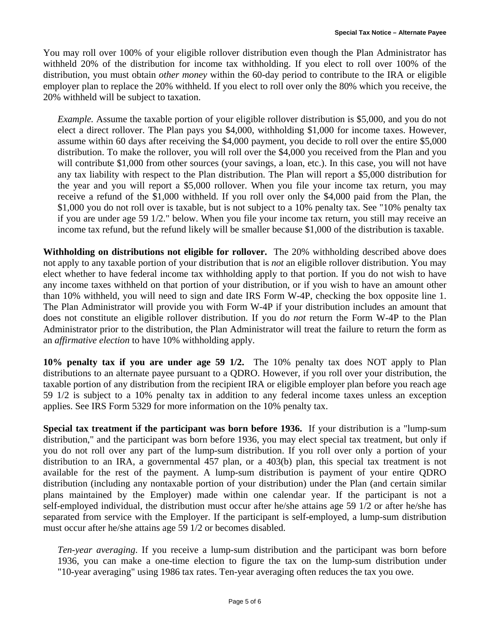You may roll over 100% of your eligible rollover distribution even though the Plan Administrator has withheld 20% of the distribution for income tax withholding. If you elect to roll over 100% of the distribution, you must obtain *other money* within the 60-day period to contribute to the IRA or eligible employer plan to replace the 20% withheld. If you elect to roll over only the 80% which you receive, the 20% withheld will be subject to taxation.

*Example.* Assume the taxable portion of your eligible rollover distribution is \$5,000, and you do not elect a direct rollover. The Plan pays you \$4,000, withholding \$1,000 for income taxes. However, assume within 60 days after receiving the \$4,000 payment, you decide to roll over the entire \$5,000 distribution. To make the rollover, you will roll over the \$4,000 you received from the Plan and you will contribute \$1,000 from other sources (your savings, a loan, etc.). In this case, you will not have any tax liability with respect to the Plan distribution. The Plan will report a \$5,000 distribution for the year and you will report a \$5,000 rollover. When you file your income tax return, you may receive a refund of the \$1,000 withheld. If you roll over only the \$4,000 paid from the Plan, the \$1,000 you do not roll over is taxable, but is not subject to a 10% penalty tax. See "10% penalty tax if you are under age 59 1/2." below. When you file your income tax return, you still may receive an income tax refund, but the refund likely will be smaller because \$1,000 of the distribution is taxable.

**Withholding on distributions not eligible for rollover.** The 20% withholding described above does not apply to any taxable portion of your distribution that is *not* an eligible rollover distribution. You may elect whether to have federal income tax withholding apply to that portion. If you do not wish to have any income taxes withheld on that portion of your distribution, or if you wish to have an amount other than 10% withheld, you will need to sign and date IRS Form W-4P, checking the box opposite line 1. The Plan Administrator will provide you with Form W-4P if your distribution includes an amount that does not constitute an eligible rollover distribution. If you do *not* return the Form W-4P to the Plan Administrator prior to the distribution, the Plan Administrator will treat the failure to return the form as an *affirmative election* to have 10% withholding apply.

**10% penalty tax if you are under age 59 1/2.** The 10% penalty tax does NOT apply to Plan distributions to an alternate payee pursuant to a QDRO. However, if you roll over your distribution, the taxable portion of any distribution from the recipient IRA or eligible employer plan before you reach age 59 1/2 is subject to a 10% penalty tax in addition to any federal income taxes unless an exception applies. See IRS Form 5329 for more information on the 10% penalty tax.

**Special tax treatment if the participant was born before 1936.** If your distribution is a "lump-sum distribution," and the participant was born before 1936, you may elect special tax treatment, but only if you do not roll over any part of the lump-sum distribution. If you roll over only a portion of your distribution to an IRA, a governmental 457 plan, or a 403(b) plan, this special tax treatment is not available for the rest of the payment. A lump-sum distribution is payment of your entire QDRO distribution (including any nontaxable portion of your distribution) under the Plan (and certain similar plans maintained by the Employer) made within one calendar year. If the participant is not a self-employed individual, the distribution must occur after he/she attains age 59 1/2 or after he/she has separated from service with the Employer. If the participant is self-employed, a lump-sum distribution must occur after he/she attains age 59 1/2 or becomes disabled.

*Ten-year averaging*. If you receive a lump-sum distribution and the participant was born before 1936, you can make a one-time election to figure the tax on the lump-sum distribution under "10-year averaging" using 1986 tax rates. Ten-year averaging often reduces the tax you owe.